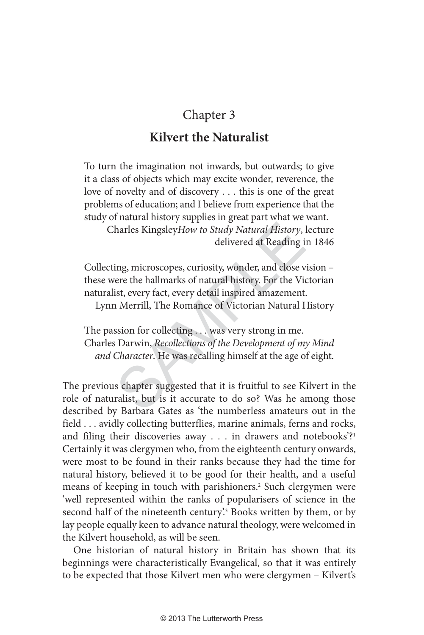## Chapter 3

## **Kilvert the Naturalist**

To turn the imagination not inwards, but outwards; to give it a class of objects which may excite wonder, reverence, the love of novelty and of discovery . . . this is one of the great problems of education; and I believe from experience that the study of natural history supplies in great part what we want.

Charles Kingsley*How to Study Natural History*, lecture delivered at Reading in 1846

harles Kingsley*How to Study Natural History*, incroscopes, curiosity, wonder, and close v<br>ere the hallmarks of natural history. For the Vicentist, every fact, every detail inspired amazement.<br>1 Merrill, The Romance of Vic Collecting, microscopes, curiosity, wonder, and close vision – these were the hallmarks of natural history. For the Victorian naturalist, every fact, every detail inspired amazement.

Lynn Merrill, The Romance of Victorian Natural History

The passion for collecting . . . was very strong in me. Charles Darwin, *Recollections of the Development of my Mind and Character*. He was recalling himself at the age of eight.

The previous chapter suggested that it is fruitful to see Kilvert in the role of naturalist, but is it accurate to do so? Was he among those described by Barbara Gates as 'the numberless amateurs out in the field . . . avidly collecting butterflies, marine animals, ferns and rocks, and filing their discoveries away . . . in drawers and notebooks'?<sup>1</sup> Certainly it was clergymen who, from the eighteenth century onwards, were most to be found in their ranks because they had the time for natural history, believed it to be good for their health, and a useful means of keeping in touch with parishioners. 2 Such clergymen were 'well represented within the ranks of popularisers of science in the second half of the nineteenth century'. 3 Books written by them, or by lay people equally keen to advance natural theology, were welcomed in the Kilvert household, as will be seen.

One historian of natural history in Britain has shown that its beginnings were characteristically Evangelical, so that it was entirely to be expected that those Kilvert men who were clergymen – Kilvert's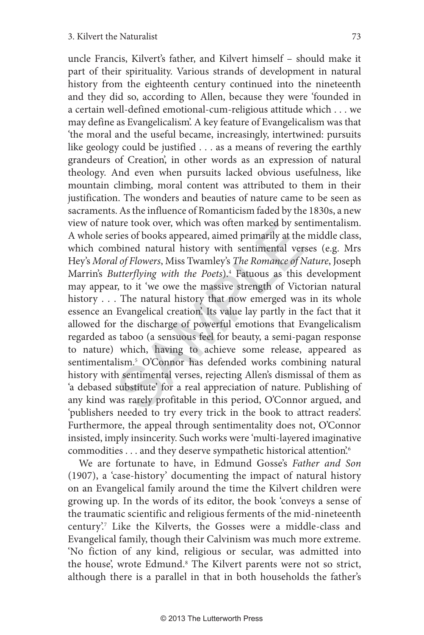ure took over, which was often marked by ser<br>ries of books appeared, aimed primarily at the<br>bined natural history with sentimental vers<br>*l of Flowers*, Miss Twamley's *The Romance of N*<br>utterflying with the Poets).<sup>4</sup> Fatu uncle Francis, Kilvert's father, and Kilvert himself – should make it part of their spirituality. Various strands of development in natural history from the eighteenth century continued into the nineteenth and they did so, according to Allen, because they were 'founded in a certain well-defined emotional-cum-religious attitude which . . . we may define as Evangelicalism'. A key feature of Evangelicalism was that 'the moral and the useful became, increasingly, intertwined: pursuits like geology could be justified . . . as a means of revering the earthly grandeurs of Creation', in other words as an expression of natural theology. And even when pursuits lacked obvious usefulness, like mountain climbing, moral content was attributed to them in their justification. The wonders and beauties of nature came to be seen as sacraments. As the influence of Romanticism faded by the 1830s, a new view of nature took over, which was often marked by sentimentalism. A whole series of books appeared, aimed primarily at the middle class, which combined natural history with sentimental verses (e.g. Mrs Hey's *Moral of Flowers*, Miss Twamley's *The Romance of Nature*, Joseph Marrin's *Butterflying with the Poets*). 4 Fatuous as this development may appear, to it 'we owe the massive strength of Victorian natural history . . . The natural history that now emerged was in its whole essence an Evangelical creation'. Its value lay partly in the fact that it allowed for the discharge of powerful emotions that Evangelicalism regarded as taboo (a sensuous feel for beauty, a semi-pagan response to nature) which, having to achieve some release, appeared as sentimentalism. 5 O'Connor has defended works combining natural history with sentimental verses, rejecting Allen's dismissal of them as 'a debased substitute' for a real appreciation of nature. Publishing of any kind was rarely profitable in this period, O'Connor argued, and 'publishers needed to try every trick in the book to attract readers'. Furthermore, the appeal through sentimentality does not, O'Connor insisted, imply insincerity. Such works were 'multi-layered imaginative commodities . . . and they deserve sympathetic historical attention'. 6

We are fortunate to have, in Edmund Gosse's *Father and Son* (1907), a 'case-history' documenting the impact of natural history on an Evangelical family around the time the Kilvert children were growing up. In the words of its editor, the book 'conveys a sense of the traumatic scientific and religious ferments of the mid-nineteenth century'. 7 Like the Kilverts, the Gosses were a middle-class and Evangelical family, though their Calvinism was much more extreme. 'No fiction of any kind, religious or secular, was admitted into the house', wrote Edmund. 8 The Kilvert parents were not so strict, although there is a parallel in that in both households the father's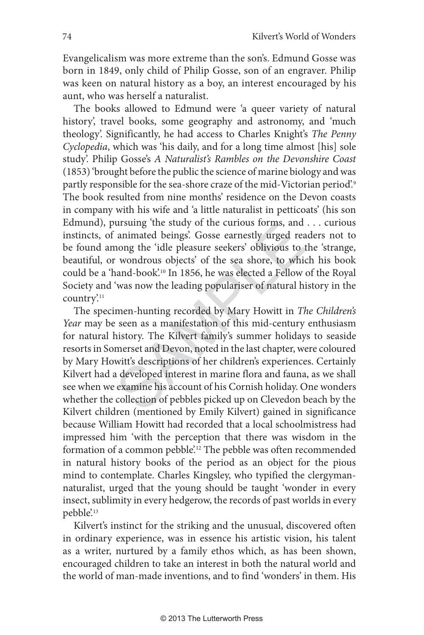Evangelicalism was more extreme than the son's. Edmund Gosse was born in 1849, only child of Philip Gosse, son of an engraver. Philip was keen on natural history as a boy, an interest encouraged by his aunt, who was herself a naturalist.

The books allowed to Edmund were 'a queer variety of natural history', travel books, some geography and astronomy, and 'much theology'. Significantly, he had access to Charles Knight's *The Penny Cyclopedia*, which was 'his daily, and for a long time almost [his] sole study'. Philip Gosse's *A Naturalist's Rambles on the Devonshire Coast* (1853) 'brought before the public the science of marine biology and was partly responsible for the sea-shore craze of the mid-Victorian period'. 9 The book resulted from nine months' residence on the Devon coasts in company with his wife and 'a little naturalist in petticoats' (his son Edmund), pursuing 'the study of the curious forms, and . . . curious instincts, of animated beings'. Gosse earnestly urged readers not to be found among the 'idle pleasure seekers' oblivious to the 'strange, beautiful, or wondrous objects' of the sea shore, to which his book could be a 'hand-book'.10 In 1856, he was elected a Fellow of the Royal Society and 'was now the leading populariser of natural history in the country.<sup>11</sup>

ursuing the study of the curious forms, and<br>animated beings'. Gosse earnestly urged rea<br>nong the 'idle pleasure seekers' oblivious to t<br>· wondrous objects' of the sea shore, to whit<br>and-book'.<sup>10</sup> In 1856, he was elected a The specimen-hunting recorded by Mary Howitt in *The Children's Year* may be seen as a manifestation of this mid-century enthusiasm for natural history. The Kilvert family's summer holidays to seaside resorts in Somerset and Devon, noted in the last chapter, were coloured by Mary Howitt's descriptions of her children's experiences. Certainly Kilvert had a developed interest in marine flora and fauna, as we shall see when we examine his account of his Cornish holiday. One wonders whether the collection of pebbles picked up on Clevedon beach by the Kilvert children (mentioned by Emily Kilvert) gained in significance because William Howitt had recorded that a local schoolmistress had impressed him 'with the perception that there was wisdom in the formation of a common pebble'.12 The pebble was often recommended in natural history books of the period as an object for the pious mind to contemplate. Charles Kingsley, who typified the clergymannaturalist, urged that the young should be taught 'wonder in every insect, sublimity in every hedgerow, the records of past worlds in every pebble'.<sup>13</sup>

Kilvert's instinct for the striking and the unusual, discovered often in ordinary experience, was in essence his artistic vision, his talent as a writer, nurtured by a family ethos which, as has been shown, encouraged children to take an interest in both the natural world and the world of man-made inventions, and to find 'wonders' in them. His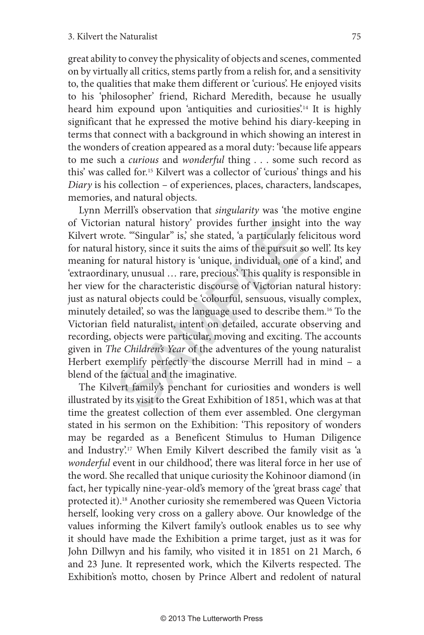great ability to convey the physicality of objects and scenes, commented on by virtually all critics, stems partly from a relish for, and a sensitivity to, the qualities that make them different or 'curious'. He enjoyed visits to his 'philosopher' friend, Richard Meredith, because he usually heard him expound upon 'antiquities and curiosities'.<sup>14</sup> It is highly significant that he expressed the motive behind his diary-keeping in terms that connect with a background in which showing an interest in the wonders of creation appeared as a moral duty: 'because life appears to me such a *curious* and *wonderful* thing . . . some such record as this' was called for.15 Kilvert was a collector of 'curious' things and his *Diary* is his collection – of experiences, places, characters, landscapes, memories, and natural objects.

In natural history provides further insight if<br>the. "Singular" is,' she stated, 'a particularly fe<br>history, since it suits the aims of the pursuit sor<br>or natural history is 'unique, individual, one o<br>ary, unusual ... rare, Lynn Merrill's observation that *singularity* was 'the motive engine of Victorian natural history' provides further insight into the way Kilvert wrote. '"Singular" is,' she stated, 'a particularly felicitous word for natural history, since it suits the aims of the pursuit so well'. Its key meaning for natural history is 'unique, individual, one of a kind', and 'extraordinary, unusual … rare, precious'. This quality is responsible in her view for the characteristic discourse of Victorian natural history: just as natural objects could be 'colourful, sensuous, visually complex, minutely detailed', so was the language used to describe them.16 To the Victorian field naturalist, intent on detailed, accurate observing and recording, objects were particular, moving and exciting. The accounts given in *The Children's Year* of the adventures of the young naturalist Herbert exemplify perfectly the discourse Merrill had in mind – a blend of the factual and the imaginative.

The Kilvert family's penchant for curiosities and wonders is well illustrated by its visit to the Great Exhibition of 1851, which was at that time the greatest collection of them ever assembled. One clergyman stated in his sermon on the Exhibition: 'This repository of wonders may be regarded as a Beneficent Stimulus to Human Diligence and Industry'.17 When Emily Kilvert described the family visit as 'a *wonderful* event in our childhood', there was literal force in her use of the word. She recalled that unique curiosity the Kohinoor diamond (in fact, her typically nine-year-old's memory of the 'great brass cage' that protected it).18 Another curiosity she remembered was Queen Victoria herself, looking very cross on a gallery above. Our knowledge of the values informing the Kilvert family's outlook enables us to see why it should have made the Exhibition a prime target, just as it was for John Dillwyn and his family, who visited it in 1851 on 21 March, 6 and 23 June. It represented work, which the Kilverts respected. The Exhibition's motto, chosen by Prince Albert and redolent of natural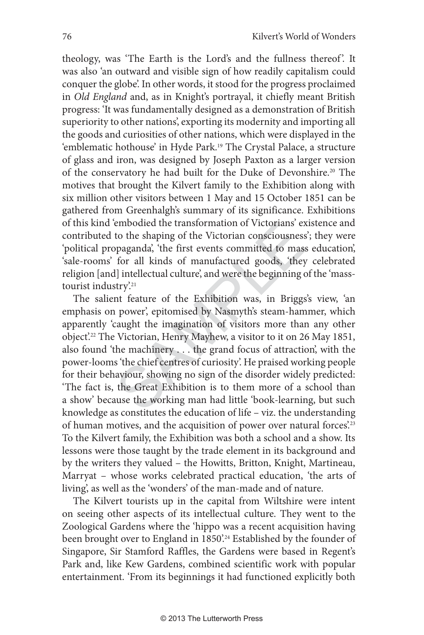theology, was 'The Earth is the Lord's and the fullness thereof'. It was also 'an outward and visible sign of how readily capitalism could conquer the globe'. In other words, it stood for the progress proclaimed in *Old England* and, as in Knight's portrayal, it chiefly meant British progress: 'It was fundamentally designed as a demonstration of British superiority to other nations', exporting its modernity and importing all the goods and curiosities of other nations, which were displayed in the 'emblematic hothouse' in Hyde Park.19 The Crystal Palace, a structure of glass and iron, was designed by Joseph Paxton as a larger version of the conservatory he had built for the Duke of Devonshire.20 The motives that brought the Kilvert family to the Exhibition along with six million other visitors between 1 May and 15 October 1851 can be gathered from Greenhalgh's summary of its significance. Exhibitions of this kind 'embodied the transformation of Victorians' existence and contributed to the shaping of the Victorian consciousness'; they were 'political propaganda', 'the first events committed to mass education', 'sale-rooms' for all kinds of manufactured goods, 'they celebrated religion [and] intellectual culture', and were the beginning of the 'masstourist industry?<sup>21</sup>

embodied the transformation of Victorians ex<br>to the shaping of the Victorian consciousness<br>paganda', 'the first events committed to mass<br>for all kinds of manufactured goods, 'they<br>l] intellectual culture', and were the beg The salient feature of the Exhibition was, in Briggs's view, 'an emphasis on power', epitomised by Nasmyth's steam-hammer, which apparently 'caught the imagination of visitors more than any other object'.22 The Victorian, Henry Mayhew, a visitor to it on 26 May 1851, also found 'the machinery . . . the grand focus of attraction', with the power-looms 'the chief centres of curiosity'. He praised working people for their behaviour, showing no sign of the disorder widely predicted: 'The fact is, the Great Exhibition is to them more of a school than a show' because the working man had little 'book-learning, but such knowledge as constitutes the education of life – viz. the understanding of human motives, and the acquisition of power over natural forces.<sup>23</sup> To the Kilvert family, the Exhibition was both a school and a show. Its lessons were those taught by the trade element in its background and by the writers they valued – the Howitts, Britton, Knight, Martineau, Marryat – whose works celebrated practical education, 'the arts of living', as well as the 'wonders' of the man-made and of nature.

The Kilvert tourists up in the capital from Wiltshire were intent on seeing other aspects of its intellectual culture. They went to the Zoological Gardens where the 'hippo was a recent acquisition having been brought over to England in 1850'.<sup>24</sup> Established by the founder of Singapore, Sir Stamford Raffles, the Gardens were based in Regent's Park and, like Kew Gardens, combined scientific work with popular entertainment. 'From its beginnings it had functioned explicitly both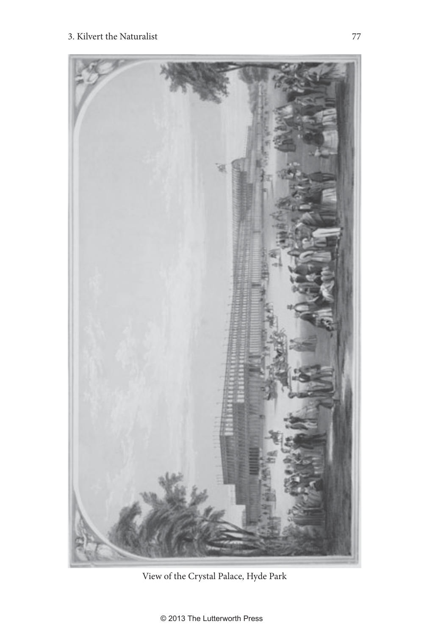## 3. Kilvert the Naturalist 77



View of the Crystal Palace, Hyde Park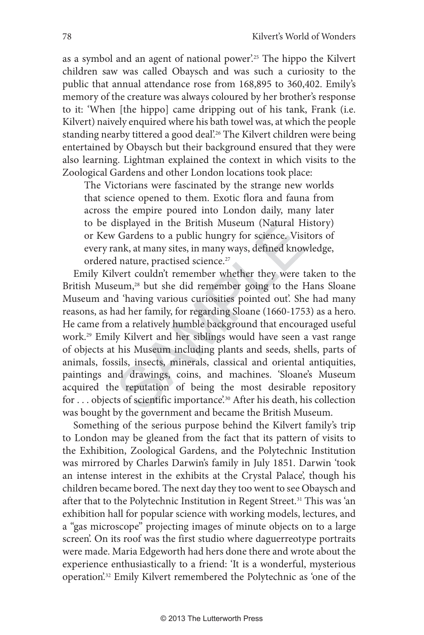as a symbol and an agent of national power'.<sup>25</sup> The hippo the Kilvert children saw was called Obaysch and was such a curiosity to the public that annual attendance rose from 168,895 to 360,402. Emily's memory of the creature was always coloured by her brother's response to it: 'When [the hippo] came dripping out of his tank, Frank (i.e. Kilvert) naively enquired where his bath towel was, at which the people standing nearby tittered a good deal.<sup>26</sup> The Kilvert children were being entertained by Obaysch but their background ensured that they were also learning. Lightman explained the context in which visits to the Zoological Gardens and other London locations took place:

The Victorians were fascinated by the strange new worlds that science opened to them. Exotic flora and fauna from across the empire poured into London daily, many later to be displayed in the British Museum (Natural History) or Kew Gardens to a public hungry for science. Visitors of every rank, at many sites, in many ways, defined knowledge, ordered nature, practised science.<sup>27</sup>

Itsplayed in the British Museum (Natural H<br>
Gardens to a public hungry for science. Visi<br>
ank, at many sites, in many ways, defined knov<br>
I nature, practised science.<sup>27</sup><br>
vert couldn't remember whether they were t<br>
eum,<sup>2</sup> Emily Kilvert couldn't remember whether they were taken to the British Museum,<sup>28</sup> but she did remember going to the Hans Sloane Museum and 'having various curiosities pointed out'. She had many reasons, as had her family, for regarding Sloane (1660-1753) as a hero. He came from a relatively humble background that encouraged useful work.29 Emily Kilvert and her siblings would have seen a vast range of objects at his Museum including plants and seeds, shells, parts of animals, fossils, insects, minerals, classical and oriental antiquities, paintings and drawings, coins, and machines. 'Sloane's Museum acquired the reputation of being the most desirable repository for ... objects of scientific importance.<sup>30</sup> After his death, his collection was bought by the government and became the British Museum.

Something of the serious purpose behind the Kilvert family's trip to London may be gleaned from the fact that its pattern of visits to the Exhibition, Zoological Gardens, and the Polytechnic Institution was mirrored by Charles Darwin's family in July 1851. Darwin 'took an intense interest in the exhibits at the Crystal Palace', though his children became bored. The next day they too went to see Obaysch and after that to the Polytechnic Institution in Regent Street.<sup>31</sup> This was 'an exhibition hall for popular science with working models, lectures, and a "gas microscope" projecting images of minute objects on to a large screen'. On its roof was the first studio where daguerreotype portraits were made. Maria Edgeworth had hers done there and wrote about the experience enthusiastically to a friend: 'It is a wonderful, mysterious operation'.<sup>32</sup> Emily Kilvert remembered the Polytechnic as 'one of the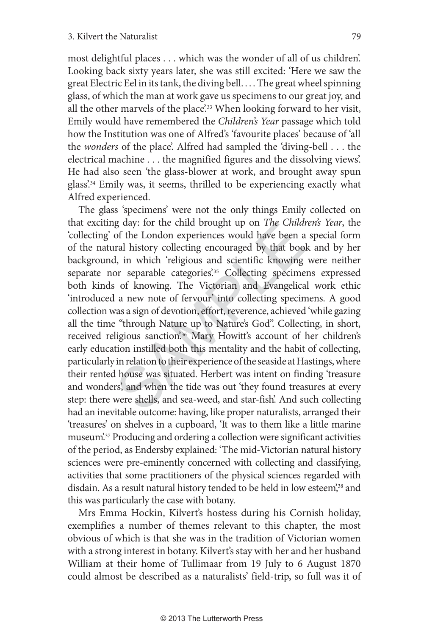most delightful places . . . which was the wonder of all of us children'. Looking back sixty years later, she was still excited: 'Here we saw the great Electric Eel in its tank, the diving bell. . . . The great wheel spinning glass, of which the man at work gave us specimens to our great joy, and all the other marvels of the place.<sup>33</sup> When looking forward to her visit, Emily would have remembered the *Children's Year* passage which told how the Institution was one of Alfred's 'favourite places' because of 'all the *wonders* of the place'. Alfred had sampled the 'diving-bell . . . the electrical machine . . . the magnified figures and the dissolving views'. He had also seen 'the glass-blower at work, and brought away spun glass'.34 Emily was, it seems, thrilled to be experiencing exactly what Alfred experienced.

g day: for the child brought up on *I he Childa*<br>of the London experiences would have been a<br>ral history collecting encouraged by that bool<br>l, in which 'religious and scientific knowing<br>or separable categories.<sup>35</sup> Collect The glass 'specimens' were not the only things Emily collected on that exciting day: for the child brought up on *The Children's Year*, the 'collecting' of the London experiences would have been a special form of the natural history collecting encouraged by that book and by her background, in which 'religious and scientific knowing were neither separate nor separable categories'.<sup>35</sup> Collecting specimens expressed both kinds of knowing. The Victorian and Evangelical work ethic 'introduced a new note of fervour' into collecting specimens. A good collection was a sign of devotion, effort, reverence, achieved 'while gazing all the time "through Nature up to Nature's God". Collecting, in short, received religious sanction<sup>'36</sup> Mary Howitt's account of her children's early education instilled both this mentality and the habit of collecting, particularly in relation to their experience of the seaside at Hastings, where their rented house was situated. Herbert was intent on finding 'treasure and wonders', and when the tide was out 'they found treasures at every step: there were shells, and sea-weed, and star-fish'. And such collecting had an inevitable outcome: having, like proper naturalists, arranged their 'treasures' on shelves in a cupboard, 'It was to them like a little marine museum'.37 Producing and ordering a collection were significant activities of the period, as Endersby explained: 'The mid-Victorian natural history sciences were pre-eminently concerned with collecting and classifying, activities that some practitioners of the physical sciences regarded with disdain. As a result natural history tended to be held in low esteem',<sup>38</sup> and this was particularly the case with botany.

Mrs Emma Hockin, Kilvert's hostess during his Cornish holiday, exemplifies a number of themes relevant to this chapter, the most obvious of which is that she was in the tradition of Victorian women with a strong interest in botany. Kilvert's stay with her and her husband William at their home of Tullimaar from 19 July to 6 August 1870 could almost be described as a naturalists' field-trip, so full was it of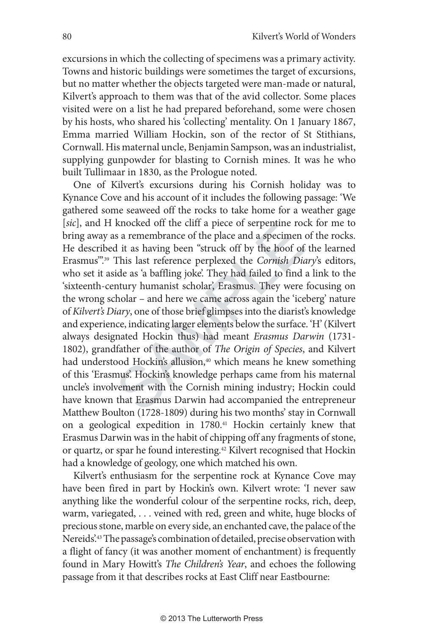excursions in which the collecting of specimens was a primary activity. Towns and historic buildings were sometimes the target of excursions, but no matter whether the objects targeted were man-made or natural, Kilvert's approach to them was that of the avid collector. Some places visited were on a list he had prepared beforehand, some were chosen by his hosts, who shared his 'collecting' mentality. On 1 January 1867, Emma married William Hockin, son of the rector of St Stithians, Cornwall. His maternal uncle, Benjamin Sampson, was an industrialist, supplying gunpowder for blasting to Cornish mines. It was he who built Tullimaar in 1830, as the Prologue noted.

knocked off the cliff a piece of serpentine rocs a remembrance of the place and a specimen of it as having been "struck off by the hoof of This last reference perplexed the *Cornish Dia* ide as 'a baffling joke'. They had One of Kilvert's excursions during his Cornish holiday was to Kynance Cove and his account of it includes the following passage: 'We gathered some seaweed off the rocks to take home for a weather gage [*sic*], and H knocked off the cliff a piece of serpentine rock for me to bring away as a remembrance of the place and a specimen of the rocks. He described it as having been "struck off by the hoof of the learned Erasmus"'.39 This last reference perplexed the *Cornish Diary*'s editors, who set it aside as 'a baffling joke'. They had failed to find a link to the 'sixteenth-century humanist scholar', Erasmus. They were focusing on the wrong scholar – and here we came across again the 'iceberg' nature of *Kilvert's Diary*, one of those brief glimpses into the diarist's knowledge and experience, indicating larger elements below the surface. 'H' (Kilvert always designated Hockin thus) had meant *Erasmus Darwin* (1731- 1802), grandfather of the author of *The Origin of Species*, and Kilvert had understood Hockin's allusion,<sup>40</sup> which means he knew something of this 'Erasmus'. Hockin's knowledge perhaps came from his maternal uncle's involvement with the Cornish mining industry; Hockin could have known that Erasmus Darwin had accompanied the entrepreneur Matthew Boulton (1728-1809) during his two months' stay in Cornwall on a geological expedition in 1780.41 Hockin certainly knew that Erasmus Darwin was in the habit of chipping off any fragments of stone, or quartz, or spar he found interesting.<sup>42</sup> Kilvert recognised that Hockin had a knowledge of geology, one which matched his own.

Kilvert's enthusiasm for the serpentine rock at Kynance Cove may have been fired in part by Hockin's own. Kilvert wrote: 'I never saw anything like the wonderful colour of the serpentine rocks, rich, deep, warm, variegated, . . . veined with red, green and white, huge blocks of precious stone, marble on every side, an enchanted cave, the palace of the Nereids'.<sup>43</sup> The passage's combination of detailed, precise observation with a flight of fancy (it was another moment of enchantment) is frequently found in Mary Howitt's *The Children's Year*, and echoes the following passage from it that describes rocks at East Cliff near Eastbourne: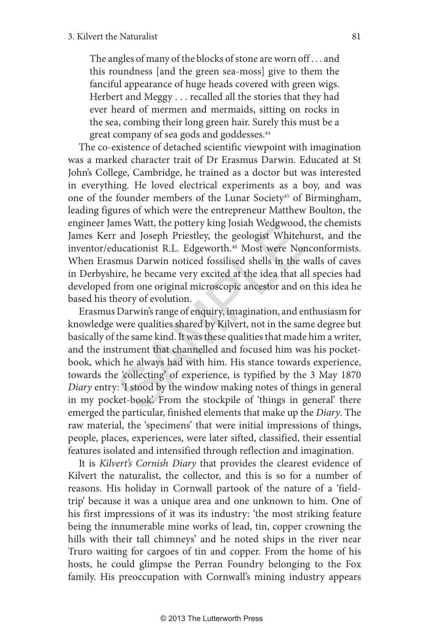The angles of many of the blocks of stone are worn off . . . and this roundness [and the green sea-moss] give to them the fanciful appearance of huge heads covered with green wigs. Herbert and Meggy . . . recalled all the stories that they had ever heard of mermen and mermaids, sitting on rocks in the sea, combing their long green hair. Surely this must be a great company of sea gods and goddesses.<sup>44</sup>

The co-existence of detached scientific viewpoint with imagination was a marked character trait of Dr Erasmus Darwin. Educated at St John's College, Cambridge, he trained as a doctor but was interested in everything. He loved electrical experiments as a boy, and was one of the founder members of the Lunar Society<sup>45</sup> of Birmingham, leading figures of which were the entrepreneur Matthew Boulton, the engineer James Watt, the pottery king Josiah Wedgwood, the chemists James Kerr and Joseph Priestley, the geologist Whitehurst, and the inventor/educationist R.L. Edgeworth.<sup>46</sup> Most were Nonconformists. When Erasmus Darwin noticed fossilised shells in the walls of caves in Derbyshire, he became very excited at the idea that all species had developed from one original microscopic ancestor and on this idea he based his theory of evolution.

mes Watt, the pottery king Josiah Wedgwood,<br>
2 and Joseph Priestley, the geologist Whiteh<br>
lucationist R.L. Edgeworth.<sup>46</sup> Most were Nor<br>
smus Darwin noticed fossilised shells in the v<br>
ire, he became very excited at the i Erasmus Darwin's range of enquiry, imagination, and enthusiasm for knowledge were qualities shared by Kilvert, not in the same degree but basically of the same kind. It was these qualities that made him a writer, and the instrument that channelled and focused him was his pocketbook, which he always had with him. His stance towards experience, towards the 'collecting' of experience, is typified by the 3 May 1870 *Diary* entry: 'I stood by the window making notes of things in general in my pocket-book'. From the stockpile of 'things in general' there emerged the particular, finished elements that make up the *Diary*. The raw material, the 'specimens' that were initial impressions of things, people, places, experiences, were later sifted, classified, their essential features isolated and intensified through reflection and imagination.

It is *Kilvert's Cornish Diary* that provides the clearest evidence of Kilvert the naturalist, the collector, and this is so for a number of reasons. His holiday in Cornwall partook of the nature of a 'fieldtrip' because it was a unique area and one unknown to him. One of his first impressions of it was its industry: 'the most striking feature being the innumerable mine works of lead, tin, copper crowning the hills with their tall chimneys' and he noted ships in the river near Truro waiting for cargoes of tin and copper. From the home of his hosts, he could glimpse the Perran Foundry belonging to the Fox family. His preoccupation with Cornwall's mining industry appears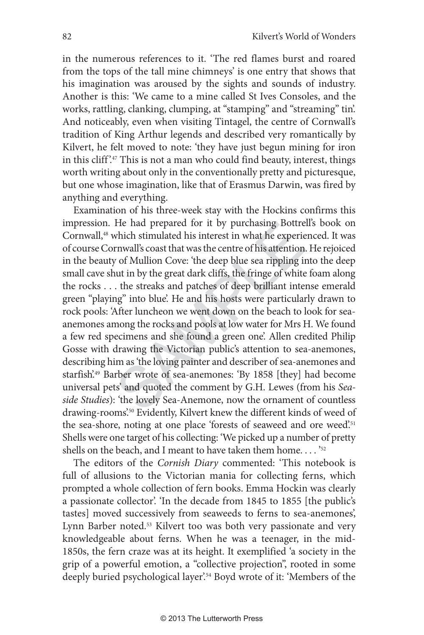in the numerous references to it. 'The red flames burst and roared from the tops of the tall mine chimneys' is one entry that shows that his imagination was aroused by the sights and sounds of industry. Another is this: 'We came to a mine called St Ives Consoles, and the works, rattling, clanking, clumping, at "stamping" and "streaming" tin'. And noticeably, even when visiting Tintagel, the centre of Cornwall's tradition of King Arthur legends and described very romantically by Kilvert, he felt moved to note: 'they have just begun mining for iron in this cliff<sup>'47</sup> This is not a man who could find beauty, interest, things worth writing about only in the conventionally pretty and picturesque, but one whose imagination, like that of Erasmus Darwin, was fired by anything and everything.

He had prepared for it by purchasing Bottre<br>which stimulated his interest in what he experie<br>rnwall's coast that was the centre of his attention<br>to of Mullion Cove: 'the deep blue sea rippling in<br>ut in by the great dark cl Examination of his three-week stay with the Hockins confirms this impression. He had prepared for it by purchasing Bottrell's book on Cornwall,<sup>48</sup> which stimulated his interest in what he experienced. It was of course Cornwall's coast that was the centre of his attention. He rejoiced in the beauty of Mullion Cove: 'the deep blue sea rippling into the deep small cave shut in by the great dark cliffs, the fringe of white foam along the rocks . . . the streaks and patches of deep brilliant intense emerald green "playing" into blue'. He and his hosts were particularly drawn to rock pools: 'After luncheon we went down on the beach to look for seaanemones among the rocks and pools at low water for Mrs H. We found a few red specimens and she found a green one'. Allen credited Philip Gosse with drawing the Victorian public's attention to sea-anemones, describing him as 'the loving painter and describer of sea-anemones and starfish<sup>'49</sup> Barber wrote of sea-anemones: 'By 1858 [they] had become universal pets' and quoted the comment by G.H. Lewes (from his *Seaside Studies*): 'the lovely Sea-Anemone, now the ornament of countless drawing-rooms'.<sup>50</sup> Evidently, Kilvert knew the different kinds of weed of the sea-shore, noting at one place 'forests of seaweed and ore weed'.<sup>51</sup> Shells were one target of his collecting: 'We picked up a number of pretty shells on the beach, and I meant to have taken them home.... $^{352}$ 

The editors of the *Cornish Diary* commented: 'This notebook is full of allusions to the Victorian mania for collecting ferns, which prompted a whole collection of fern books. Emma Hockin was clearly a passionate collector'. 'In the decade from 1845 to 1855 [the public's tastes] moved successively from seaweeds to ferns to sea-anemones', Lynn Barber noted.<sup>53</sup> Kilvert too was both very passionate and very knowledgeable about ferns. When he was a teenager, in the mid-1850s, the fern craze was at its height. It exemplified 'a society in the grip of a powerful emotion, a "collective projection", rooted in some deeply buried psychological layer'.<sup>54</sup> Boyd wrote of it: 'Members of the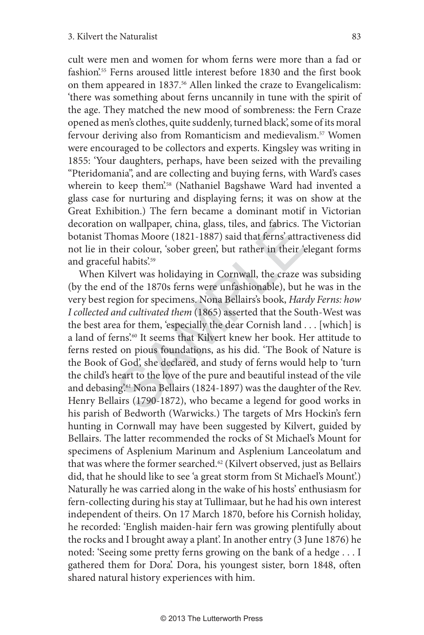cult were men and women for whom ferns were more than a fad or fashion<sup>'55</sup> Ferns aroused little interest before 1830 and the first book on them appeared in 1837.<sup>56</sup> Allen linked the craze to Evangelicalism: 'there was something about ferns uncannily in tune with the spirit of the age. They matched the new mood of sombreness: the Fern Craze opened as men's clothes, quite suddenly, turned black', some of its moral fervour deriving also from Romanticism and medievalism.<sup>57</sup> Women were encouraged to be collectors and experts. Kingsley was writing in 1855: 'Your daughters, perhaps, have been seized with the prevailing "Pteridomania", and are collecting and buying ferns, with Ward's cases wherein to keep them'.<sup>58</sup> (Nathaniel Bagshawe Ward had invented a glass case for nurturing and displaying ferns; it was on show at the Great Exhibition.) The fern became a dominant motif in Victorian decoration on wallpaper, china, glass, tiles, and fabrics. The Victorian botanist Thomas Moore (1821-1887) said that ferns' attractiveness did not lie in their colour, 'sober green', but rather in their 'elegant forms and graceful habits'.59

on wallpaper, china, glass, tiles, and fabrics. To<br>nomas Moore (1821-1887) said that ferns' attra<br>heir colour, 'sober green', but rather in their 'e<br>ul habits'.<sup>59</sup><br>ilvert was holidaying in Cornwall, the craze v<br>l of the 1 When Kilvert was holidaying in Cornwall, the craze was subsiding (by the end of the 1870s ferns were unfashionable), but he was in the very best region for specimens. Nona Bellairs's book, *Hardy Ferns: how I collected and cultivated them* (1865) asserted that the South-West was the best area for them, 'especially the dear Cornish land . . . [which] is a land of ferns'.<sup>60</sup> It seems that Kilvert knew her book. Her attitude to ferns rested on pious foundations, as his did. 'The Book of Nature is the Book of God', she declared, and study of ferns would help to 'turn the child's heart to the love of the pure and beautiful instead of the vile and debasing'.61 Nona Bellairs (1824-1897) was the daughter of the Rev. Henry Bellairs (1790-1872), who became a legend for good works in his parish of Bedworth (Warwicks.) The targets of Mrs Hockin's fern hunting in Cornwall may have been suggested by Kilvert, guided by Bellairs. The latter recommended the rocks of St Michael's Mount for specimens of Asplenium Marinum and Asplenium Lanceolatum and that was where the former searched.<sup>62</sup> (Kilvert observed, just as Bellairs did, that he should like to see 'a great storm from St Michael's Mount'.) Naturally he was carried along in the wake of his hosts' enthusiasm for fern-collecting during his stay at Tullimaar, but he had his own interest independent of theirs. On 17 March 1870, before his Cornish holiday, he recorded: 'English maiden-hair fern was growing plentifully about the rocks and I brought away a plant'. In another entry (3 June 1876) he noted: 'Seeing some pretty ferns growing on the bank of a hedge . . . I gathered them for Dora'. Dora, his youngest sister, born 1848, often shared natural history experiences with him.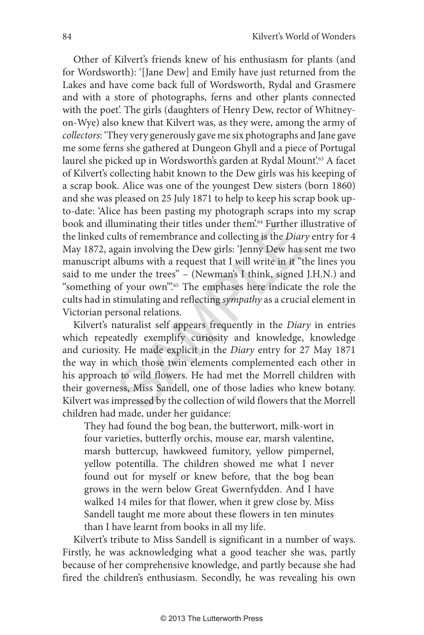uminating their titles under them.<sup>64</sup> Further il<br>llts of remembrance and collecting is the *Diar*<br>gain involving the Dew girls: 'Jenny Dew has a<br>albums with a request that I will write in it "tl<br>under the trees" – (Newman Other of Kilvert's friends knew of his enthusiasm for plants (and for Wordsworth): '[Jane Dew] and Emily have just returned from the Lakes and have come back full of Wordsworth, Rydal and Grasmere and with a store of photographs, ferns and other plants connected with the poet'. The girls (daughters of Henry Dew, rector of Whitneyon-Wye) also knew that Kilvert was, as they were, among the army of *collectors*: 'They very generously gave me six photographs and Jane gave me some ferns she gathered at Dungeon Ghyll and a piece of Portugal laurel she picked up in Wordsworth's garden at Rydal Mount'.<sup>63</sup> A facet of Kilvert's collecting habit known to the Dew girls was his keeping of a scrap book. Alice was one of the youngest Dew sisters (born 1860) and she was pleased on 25 July 1871 to help to keep his scrap book upto-date: 'Alice has been pasting my photograph scraps into my scrap book and illuminating their titles under them'.<sup>64</sup> Further illustrative of the linked cults of remembrance and collecting is the *Diary* entry for 4 May 1872, again involving the Dew girls: 'Jenny Dew has sent me two manuscript albums with a request that I will write in it "the lines you said to me under the trees" – (Newman's I think, signed J.H.N.) and "something of your own".<sup>65</sup> The emphases here indicate the role the cults had in stimulating and reflecting *sympathy* as a crucial element in Victorian personal relations.

Kilvert's naturalist self appears frequently in the *Diary* in entries which repeatedly exemplify curiosity and knowledge, knowledge and curiosity. He made explicit in the *Diary* entry for 27 May 1871 the way in which those twin elements complemented each other in his approach to wild flowers. He had met the Morrell children with their governess, Miss Sandell, one of those ladies who knew botany. Kilvert was impressed by the collection of wild flowers that the Morrell children had made, under her guidance:

They had found the bog bean, the butterwort, milk-wort in four varieties, butterfly orchis, mouse ear, marsh valentine, marsh buttercup, hawkweed fumitory, yellow pimpernel, yellow potentilla. The children showed me what I never found out for myself or knew before, that the bog bean grows in the wern below Great Gwernfydden. And I have walked 14 miles for that flower, when it grew close by. Miss Sandell taught me more about these flowers in ten minutes than I have learnt from books in all my life.

Kilvert's tribute to Miss Sandell is significant in a number of ways. Firstly, he was acknowledging what a good teacher she was, partly because of her comprehensive knowledge, and partly because she had fired the children's enthusiasm. Secondly, he was revealing his own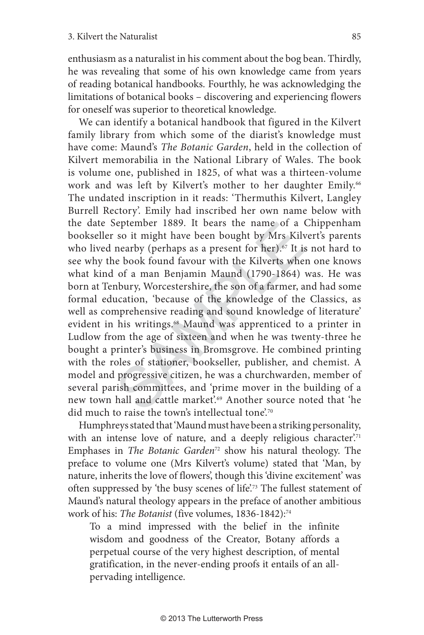enthusiasm as a naturalist in his comment about the bog bean. Thirdly, he was revealing that some of his own knowledge came from years of reading botanical handbooks. Fourthly, he was acknowledging the limitations of botanical books – discovering and experiencing flowers for oneself was superior to theoretical knowledge.

eptember 1889. It bears the name of a C<br>so it might have been bought by Mrs Kilv<br>nearby (perhaps as a present for her).<sup>67</sup> It is<br>e book found favour with the Kilverts when<br>of a man Benjamin Maund (1790-1864)<br>nbury, Worce We can identify a botanical handbook that figured in the Kilvert family library from which some of the diarist's knowledge must have come: Maund's *The Botanic Garden*, held in the collection of Kilvert memorabilia in the National Library of Wales. The book is volume one, published in 1825, of what was a thirteen-volume work and was left by Kilvert's mother to her daughter Emily.<sup>66</sup> The undated inscription in it reads: 'Thermuthis Kilvert, Langley Burrell Rectory'. Emily had inscribed her own name below with the date September 1889. It bears the name of a Chippenham bookseller so it might have been bought by Mrs Kilvert's parents who lived nearby (perhaps as a present for her).<sup>67</sup> It is not hard to see why the book found favour with the Kilverts when one knows what kind of a man Benjamin Maund (1790-1864) was. He was born at Tenbury, Worcestershire, the son of a farmer, and had some formal education, 'because of the knowledge of the Classics, as well as comprehensive reading and sound knowledge of literature' evident in his writings.<sup>68</sup> Maund was apprenticed to a printer in Ludlow from the age of sixteen and when he was twenty-three he bought a printer's business in Bromsgrove. He combined printing with the roles of stationer, bookseller, publisher, and chemist. A model and progressive citizen, he was a churchwarden, member of several parish committees, and 'prime mover in the building of a new town hall and cattle market<sup>'.69</sup> Another source noted that 'he did much to raise the town's intellectual tone'.<sup>70</sup>

Humphreys stated that 'Maund must have been a striking personality, with an intense love of nature, and a deeply religious character.<sup>71</sup> Emphases in *The Botanic Garden*72 show his natural theology. The preface to volume one (Mrs Kilvert's volume) stated that 'Man, by nature, inherits the love of flowers', though this 'divine excitement' was often suppressed by 'the busy scenes of life'.<sup>73</sup> The fullest statement of Maund's natural theology appears in the preface of another ambitious work of his: *The Botanist* (five volumes, 1836-1842):<sup>74</sup>

To a mind impressed with the belief in the infinite wisdom and goodness of the Creator, Botany affords a perpetual course of the very highest description, of mental gratification, in the never-ending proofs it entails of an allpervading intelligence.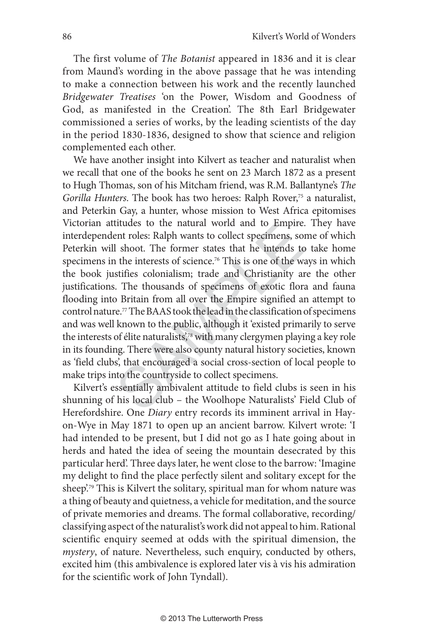The first volume of *The Botanist* appeared in 1836 and it is clear from Maund's wording in the above passage that he was intending to make a connection between his work and the recently launched *Bridgewater Treatises* 'on the Power, Wisdom and Goodness of God, as manifested in the Creation'. The 8th Earl Bridgewater commissioned a series of works, by the leading scientists of the day in the period 1830-1836, designed to show that science and religion complemented each other.

titudes to the natural world and to Empire.<br>
ent roles: Ralph wants to collect specimens, sor<br>
1 shoot. The former states that he intends to<br>
1 the interests of science.<sup>76</sup> This is one of the was<br>
stifies colonialism; tra We have another insight into Kilvert as teacher and naturalist when we recall that one of the books he sent on 23 March 1872 as a present to Hugh Thomas, son of his Mitcham friend, was R.M. Ballantyne's *The*  Gorilla Hunters. The book has two heroes: Ralph Rover,<sup>75</sup> a naturalist, and Peterkin Gay, a hunter, whose mission to West Africa epitomises Victorian attitudes to the natural world and to Empire. They have interdependent roles: Ralph wants to collect specimens, some of which Peterkin will shoot. The former states that he intends to take home specimens in the interests of science.<sup>76</sup> This is one of the ways in which the book justifies colonialism; trade and Christianity are the other justifications. The thousands of specimens of exotic flora and fauna flooding into Britain from all over the Empire signified an attempt to control nature.77 The BAAS took the lead in the classification of specimens and was well known to the public, although it 'existed primarily to serve the interests of élite naturalists',78 with many clergymen playing a key role in its founding. There were also county natural history societies, known as 'field clubs', that encouraged a social cross-section of local people to make trips into the countryside to collect specimens.

Kilvert's essentially ambivalent attitude to field clubs is seen in his shunning of his local club – the Woolhope Naturalists' Field Club of Herefordshire. One *Diary* entry records its imminent arrival in Hayon-Wye in May 1871 to open up an ancient barrow. Kilvert wrote: 'I had intended to be present, but I did not go as I hate going about in herds and hated the idea of seeing the mountain desecrated by this particular herd'. Three days later, he went close to the barrow: 'Imagine my delight to find the place perfectly silent and solitary except for the sheep'.<sup>79</sup> This is Kilvert the solitary, spiritual man for whom nature was a thing of beauty and quietness, a vehicle for meditation, and the source of private memories and dreams. The formal collaborative, recording/ classifying aspect of the naturalist's work did not appeal to him. Rational scientific enquiry seemed at odds with the spiritual dimension, the *mystery*, of nature. Nevertheless, such enquiry, conducted by others, excited him (this ambivalence is explored later vis à vis his admiration for the scientific work of John Tyndall).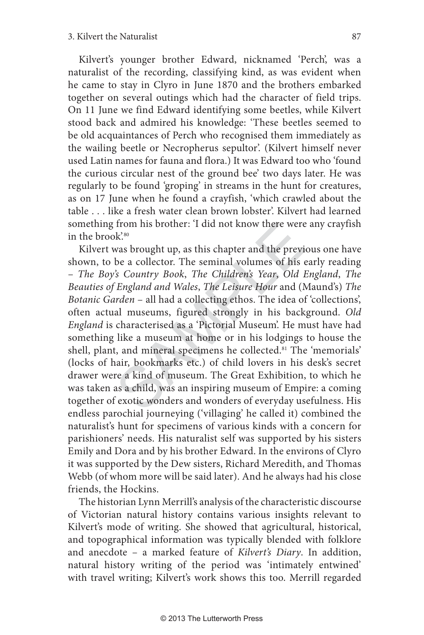Kilvert's younger brother Edward, nicknamed 'Perch', was a naturalist of the recording, classifying kind, as was evident when he came to stay in Clyro in June 1870 and the brothers embarked together on several outings which had the character of field trips. On 11 June we find Edward identifying some beetles, while Kilvert stood back and admired his knowledge: 'These beetles seemed to be old acquaintances of Perch who recognised them immediately as the wailing beetle or Necropherus sepultor'. (Kilvert himself never used Latin names for fauna and flora.) It was Edward too who 'found the curious circular nest of the ground bee' two days later. He was regularly to be found 'groping' in streams in the hunt for creatures, as on 17 June when he found a crayfish, 'which crawled about the table . . . like a fresh water clean brown lobster'. Kilvert had learned something from his brother: 'I did not know there were any crayfish in the brook'.80

from his brother: 'I did not know there were<br>k'.<sup>30</sup><br>was brought up, as this chapter and the previ<br>be a collector. The seminal volumes of his  $\epsilon$ <br>'s *Country Book, The Children's Year, Old I*<br>England and Wales, *The Leis* Kilvert was brought up, as this chapter and the previous one have shown, to be a collector. The seminal volumes of his early reading – *The Boy's Country Book*, *The Children's Year*, *Old England*, *The Beauties of England and Wales*, *The Leisure Hour* and (Maund's) *The Botanic Garden* – all had a collecting ethos. The idea of 'collections', often actual museums, figured strongly in his background. *Old England* is characterised as a 'Pictorial Museum'. He must have had something like a museum at home or in his lodgings to house the shell, plant, and mineral specimens he collected.<sup>81</sup> The 'memorials' (locks of hair, bookmarks etc.) of child lovers in his desk's secret drawer were a kind of museum. The Great Exhibition, to which he was taken as a child, was an inspiring museum of Empire: a coming together of exotic wonders and wonders of everyday usefulness. His endless parochial journeying ('villaging' he called it) combined the naturalist's hunt for specimens of various kinds with a concern for parishioners' needs. His naturalist self was supported by his sisters Emily and Dora and by his brother Edward. In the environs of Clyro it was supported by the Dew sisters, Richard Meredith, and Thomas Webb (of whom more will be said later). And he always had his close friends, the Hockins.

The historian Lynn Merrill's analysis of the characteristic discourse of Victorian natural history contains various insights relevant to Kilvert's mode of writing. She showed that agricultural, historical, and topographical information was typically blended with folklore and anecdote – a marked feature of *Kilvert's Diary*. In addition, natural history writing of the period was 'intimately entwined' with travel writing; Kilvert's work shows this too. Merrill regarded